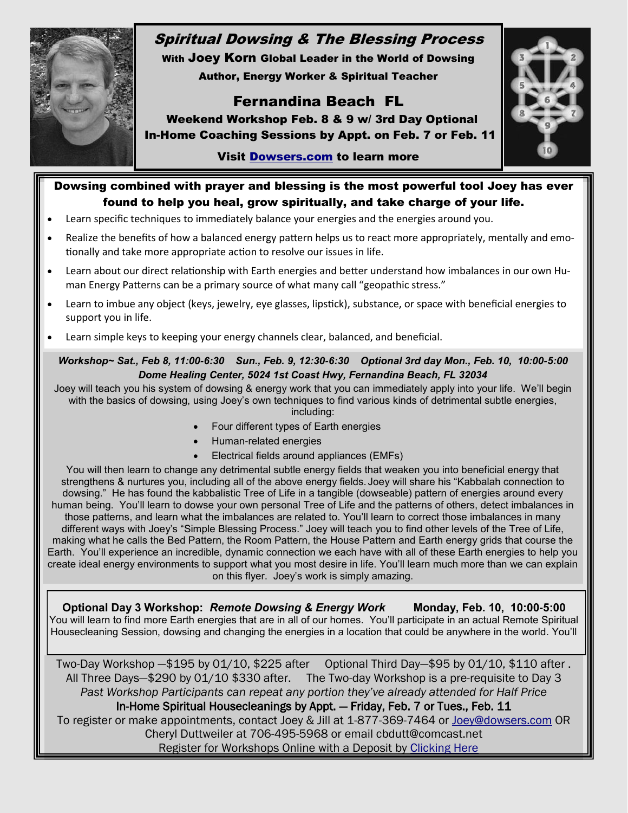

# Spiritual Dowsing & The Blessing Process

With Joey Korn Global Leader in the World of Dowsing Author, Energy Worker & Spiritual Teacher

# Fernandina Beach FL



 Weekend Workshop Feb. 8 & 9 w/ 3rd Day Optional In-Home Coaching Sessions by Appt. on Feb. 7 or Feb. 11

## Visit [Dowsers.com](http://www.dowsers.com) to learn more

# Dowsing combined with prayer and blessing is the most powerful tool Joey has ever found to help you heal, grow spiritually, and take charge of your life.

- Learn specific techniques to immediately balance your energies and the energies around you.
- Realize the benefits of how a balanced energy pattern helps us to react more appropriately, mentally and emotionally and take more appropriate action to resolve our issues in life.
- Learn about our direct relationship with Earth energies and better understand how imbalances in our own Human Energy Patterns can be a primary source of what many call "geopathic stress."
- Learn to imbue any object (keys, jewelry, eye glasses, lipstick), substance, or space with beneficial energies to support you in life.
- Learn simple keys to keeping your energy channels clear, balanced, and beneficial.

#### *Workshop~ Sat., Feb 8, 11:00-6:30 Sun., Feb. 9, 12:30-6:30 Optional 3rd day Mon., Feb. 10, 10:00-5:00 Dome Healing Center, 5024 1st Coast Hwy, Fernandina Beach, FL 32034*

Joey will teach you his system of dowsing & energy work that you can immediately apply into your life. We'll begin with the basics of dowsing, using Joey's own techniques to find various kinds of detrimental subtle energies,

including:

- Four different types of Earth energies
- Human-related energies
- Electrical fields around appliances (EMFs)

You will then learn to change any detrimental subtle energy fields that weaken you into beneficial energy that strengthens & nurtures you, including all of the above energy fields. Joey will share his "Kabbalah connection to dowsing." He has found the kabbalistic Tree of Life in a tangible (dowseable) pattern of energies around every human being. You'll learn to dowse your own personal Tree of Life and the patterns of others, detect imbalances in those patterns, and learn what the imbalances are related to. You'll learn to correct those imbalances in many different ways with Joey's "Simple Blessing Process." Joey will teach you to find other levels of the Tree of Life, making what he calls the Bed Pattern, the Room Pattern, the House Pattern and Earth energy grids that course the Earth. You'll experience an incredible, dynamic connection we each have with all of these Earth energies to help you create ideal energy environments to support what you most desire in life. You'll learn much more than we can explain on this flyer. Joey's work is simply amazing.

**Optional Day 3 Workshop:** *Remote Dowsing & Energy Work* **Monday, Feb. 10, 10:00-5:00** You will learn to find more Earth energies that are in all of our homes. You'll participate in an actual Remote Spiritual Housecleaning Session, dowsing and changing the energies in a location that could be anywhere in the world. You'll

Two-Day Workshop —\$195 by 01/10, \$225 after Optional Third Day—\$95 by 01/10, \$110 after . All Three Days—\$290 by 01/10 \$330 after. The Two-day Workshop is a pre-requisite to Day 3 *Past Workshop Participants can repeat any portion they've already attended for Half Price* In-Home Spiritual Housecleanings by Appt. — Friday, Feb. 7 or Tues., Feb. 11 To register or make appointments, contact Joey & Jill at 1-877-369-7464 or [Joey@dowsers.com](mailto:Joey@dowsers.com) OR Cheryl Duttweiler at 706-495-5968 or email cbdutt@comcast.net Register for Workshops Online with a Deposit by [Clicking Here](http://www.kickstartcart.com/SecureCart/SecureCart.aspx?mid=843CD79A-4C71-4164-BC7A-ECC901640B89&pid=ced4681e275c42f7916a300ded0a3b1c)